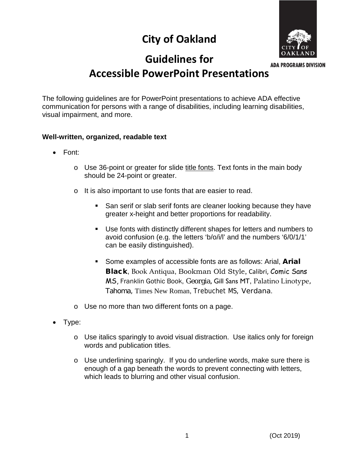# **City of Oakland**



## **Guidelines for**

**ADA PROGRAMS DIVISION** 

### **Accessible PowerPoint Presentations**

The following guidelines are for PowerPoint presentations to achieve ADA effective communication for persons with a range of disabilities, including learning disabilities, visual impairment, and more.

#### **Well-written, organized, readable text**

- Font:
	- o Use 36-point or greater for slide title fonts. Text fonts in the main body should be 24-point or greater.
	- o It is also important to use fonts that are easier to read.
		- San serif or slab serif fonts are cleaner looking because they have greater x-height and better proportions for readability.
		- Use fonts with distinctly different shapes for letters and numbers to avoid confusion (e.g. the letters 'b/o/i/l' and the numbers '6/0/1/1' can be easily distinguished).
		- Some examples of accessible fonts are as follows: Arial, Arial Black, Book Antiqua, Bookman Old Style, Calibri, Comic Sans MS, Franklin Gothic Book, Georgia, Gill Sans MT, Palatino Linotype, Tahoma, Times New Roman, Trebuchet MS, Verdana.
	- o Use no more than two different fonts on a page.
- Type:
	- o Use italics sparingly to avoid visual distraction. Use italics only for foreign words and publication titles.
	- o Use underlining sparingly. If you do underline words, make sure there is enough of a gap beneath the words to prevent connecting with letters, which leads to blurring and other visual confusion.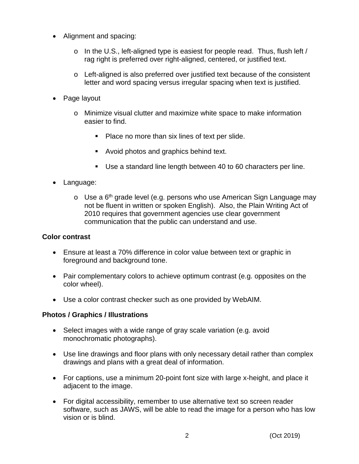- Alignment and spacing:
	- o In the U.S., left-aligned type is easiest for people read. Thus, flush left / rag right is preferred over right-aligned, centered, or justified text.
	- o Left-aligned is also preferred over justified text because of the consistent letter and word spacing versus irregular spacing when text is justified.
- Page layout
	- o Minimize visual clutter and maximize white space to make information easier to find.
		- Place no more than six lines of text per slide.
		- **Avoid photos and graphics behind text.**
		- Use a standard line length between 40 to 60 characters per line.
- Language:
	- $\circ$  Use a 6<sup>th</sup> grade level (e.g. persons who use American Sign Language may not be fluent in written or spoken English). Also, the Plain Writing Act of 2010 requires that government agencies use clear government communication that the public can understand and use.

#### **Color contrast**

- Ensure at least a 70% difference in color value between text or graphic in foreground and background tone.
- Pair complementary colors to achieve optimum contrast (e.g. opposites on the color wheel).
- Use a color contrast checker such as one provided by WebAIM.

#### **Photos / Graphics / Illustrations**

- Select images with a wide range of gray scale variation (e.g. avoid monochromatic photographs).
- Use line drawings and floor plans with only necessary detail rather than complex drawings and plans with a great deal of information.
- For captions, use a minimum 20-point font size with large x-height, and place it adjacent to the image.
- For digital accessibility, remember to use alternative text so screen reader software, such as JAWS, will be able to read the image for a person who has low vision or is blind.